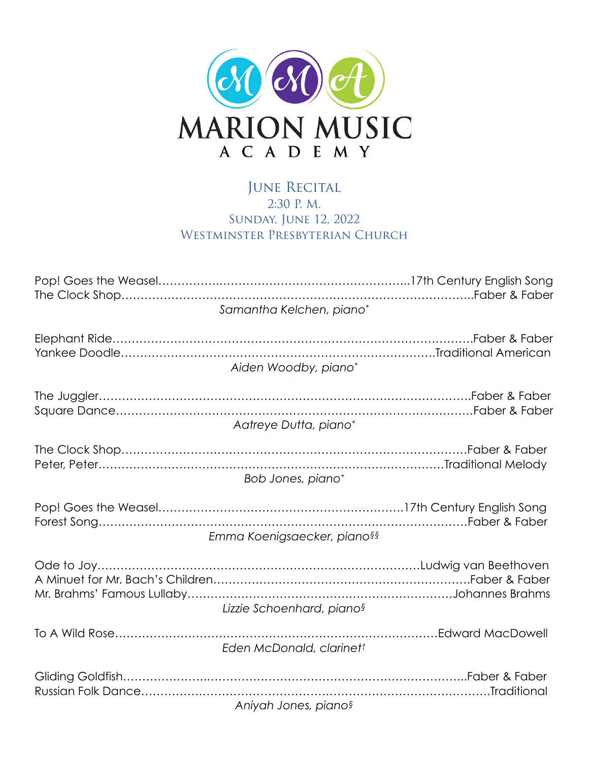

## JUNE RECITAL 2:30 P. M. Sunday, June 12, 2022 WESTMINSTER PRESBYTERIAN CHURCH

| Samantha Kelchen, piano*         |
|----------------------------------|
| Aiden Woodby, piano*             |
| Aatreye Dutta, piano*            |
| Bob Jones, piano*                |
| Emma Koenigsaecker, piano§§      |
| Lizzie Schoenhard, pianos        |
| Eden McDonald, clarinett         |
| Aniyah Jones, piano <sup>§</sup> |